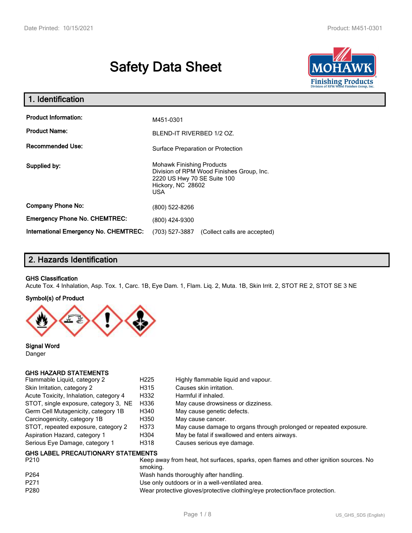# **Safety Data Sheet**



| 1. Identification                                   |                                                                                                                                          |  |
|-----------------------------------------------------|------------------------------------------------------------------------------------------------------------------------------------------|--|
| <b>Product Information:</b><br><b>Product Name:</b> | M451-0301<br>BLEND-IT RIVERBED 1/2 OZ.                                                                                                   |  |
| Recommended Use:                                    | Surface Preparation or Protection                                                                                                        |  |
| Supplied by:                                        | <b>Mohawk Finishing Products</b><br>Division of RPM Wood Finishes Group, Inc.<br>2220 US Hwy 70 SE Suite 100<br>Hickory, NC 28602<br>USA |  |
| <b>Company Phone No:</b>                            | (800) 522-8266                                                                                                                           |  |
| <b>Emergency Phone No. CHEMTREC:</b>                | (800) 424-9300                                                                                                                           |  |
| <b>International Emergency No. CHEMTREC:</b>        | (703) 527-3887<br>(Collect calls are accepted)                                                                                           |  |

# **2. Hazards Identification**

#### **GHS Classification**

Acute Tox. 4 Inhalation, Asp. Tox. 1, Carc. 1B, Eye Dam. 1, Flam. Liq. 2, Muta. 1B, Skin Irrit. 2, STOT RE 2, STOT SE 3 NE

#### **Symbol(s) of Product**



**Signal Word** Danger

#### **GHS HAZARD STATEMENTS**

| Flammable Liquid, category 2           | H <sub>225</sub>                          | Highly flammable liquid and vapour.                                |  |  |  |
|----------------------------------------|-------------------------------------------|--------------------------------------------------------------------|--|--|--|
| Skin Irritation, category 2            | H315                                      | Causes skin irritation.                                            |  |  |  |
| Acute Toxicity, Inhalation, category 4 | H332                                      | Harmful if inhaled.                                                |  |  |  |
| STOT, single exposure, category 3, NE  | H336                                      | May cause drowsiness or dizziness.                                 |  |  |  |
| Germ Cell Mutagenicity, category 1B    | H340                                      | May cause genetic defects.                                         |  |  |  |
| Carcinogenicity, category 1B           | H350                                      | May cause cancer.                                                  |  |  |  |
| STOT, repeated exposure, category 2    | H373                                      | May cause damage to organs through prolonged or repeated exposure. |  |  |  |
| Aspiration Hazard, category 1          | H304                                      | May be fatal if swallowed and enters airways.                      |  |  |  |
| Serious Eye Damage, category 1         | H318                                      | Causes serious eye damage.                                         |  |  |  |
|                                        | <b>GHS LABEL PRECAUTIONARY STATEMENTS</b> |                                                                    |  |  |  |

| P <sub>210</sub> | Keep away from heat, hot surfaces, sparks, open flames and other ignition sources. No<br>smoking. |
|------------------|---------------------------------------------------------------------------------------------------|
| P <sub>264</sub> | Wash hands thoroughly after handling.                                                             |
| P <sub>271</sub> | Use only outdoors or in a well-ventilated area.                                                   |
| P280             | Wear protective gloves/protective clothing/eye protection/face protection.                        |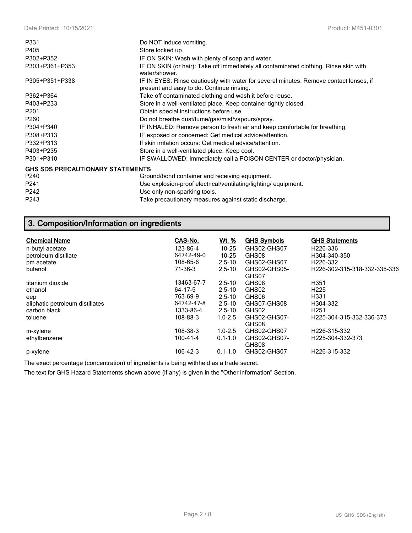| P331                                    | Do NOT induce vomiting.                                                                                                             |
|-----------------------------------------|-------------------------------------------------------------------------------------------------------------------------------------|
| P405                                    | Store locked up.                                                                                                                    |
| P302+P352                               | IF ON SKIN: Wash with plenty of soap and water.                                                                                     |
| P303+P361+P353                          | IF ON SKIN (or hair): Take off immediately all contaminated clothing. Rinse skin with<br>water/shower.                              |
| P305+P351+P338                          | IF IN EYES: Rinse cautiously with water for several minutes. Remove contact lenses, if<br>present and easy to do. Continue rinsing. |
| P362+P364                               | Take off contaminated clothing and wash it before reuse.                                                                            |
| P403+P233                               | Store in a well-ventilated place. Keep container tightly closed.                                                                    |
| P <sub>201</sub>                        | Obtain special instructions before use.                                                                                             |
| P <sub>260</sub>                        | Do not breathe dust/fume/gas/mist/vapours/spray.                                                                                    |
| P304+P340                               | IF INHALED: Remove person to fresh air and keep comfortable for breathing.                                                          |
| P308+P313                               | IF exposed or concerned: Get medical advice/attention.                                                                              |
| P332+P313                               | If skin irritation occurs: Get medical advice/attention.                                                                            |
| P403+P235                               | Store in a well-ventilated place. Keep cool.                                                                                        |
| P301+P310                               | IF SWALLOWED: Immediately call a POISON CENTER or doctor/physician.                                                                 |
| <b>GHS SDS PRECAUTIONARY STATEMENTS</b> |                                                                                                                                     |
| P240                                    | Ground/bond container and receiving equipment.                                                                                      |
| P <sub>241</sub>                        | Use explosion-proof electrical/ventilating/lighting/equipment.                                                                      |
| P242                                    | Use only non-sparking tools.                                                                                                        |
| P243                                    | Take precautionary measures against static discharge.                                                                               |

# **3. Composition/Information on ingredients**

| <b>Chemical Name</b>            | CAS-No.        | Wt. %       | <b>GHS Symbols</b>    | <b>GHS Statements</b>        |
|---------------------------------|----------------|-------------|-----------------------|------------------------------|
| n-butyl acetate                 | 123-86-4       | $10 - 25$   | GHS02-GHS07           | H <sub>226</sub> -336        |
| petroleum distillate            | 64742-49-0     | $10 - 25$   | GHS08                 | H304-340-350                 |
| pm acetate                      | 108-65-6       | $2.5 - 10$  | GHS02-GHS07           | H <sub>226</sub> -332        |
| butanol                         | 71-36-3        | $2.5 - 10$  | GHS02-GHS05-<br>GHS07 | H226-302-315-318-332-335-336 |
| titanium dioxide                | 13463-67-7     | $2.5 - 10$  | GHS08                 | H <sub>351</sub>             |
| ethanol                         | 64-17-5        | $2.5 - 10$  | GHS02                 | H <sub>225</sub>             |
| eep                             | 763-69-9       | $2.5 - 10$  | GHS06                 | H331                         |
| aliphatic petroleum distillates | 64742-47-8     | $2.5 - 10$  | GHS07-GHS08           | H304-332                     |
| carbon black                    | 1333-86-4      | $2.5 - 10$  | GHS02                 | H <sub>251</sub>             |
| toluene                         | 108-88-3       | $1.0 - 2.5$ | GHS02-GHS07-<br>GHS08 | H225-304-315-332-336-373     |
| m-xylene                        | 108-38-3       | $1.0 - 2.5$ | GHS02-GHS07           | H226-315-332                 |
| ethylbenzene                    | $100 - 41 - 4$ | $0.1 - 1.0$ | GHS02-GHS07-<br>GHS08 | H225-304-332-373             |
| p-xylene                        | 106-42-3       | $0.1 - 1.0$ | GHS02-GHS07           | H226-315-332                 |

The exact percentage (concentration) of ingredients is being withheld as a trade secret.

The text for GHS Hazard Statements shown above (if any) is given in the "Other information" Section.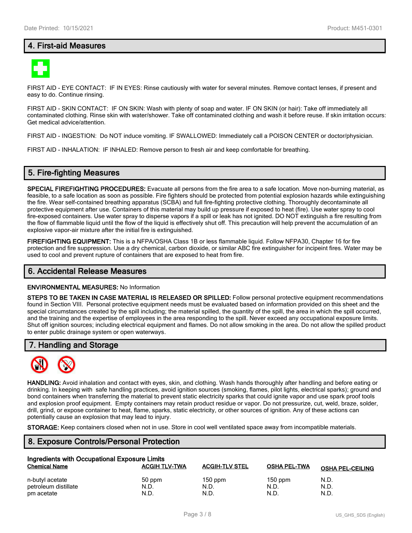# **4. First-aid Measures**



FIRST AID - EYE CONTACT: IF IN EYES: Rinse cautiously with water for several minutes. Remove contact lenses, if present and easy to do. Continue rinsing.

FIRST AID - SKIN CONTACT: IF ON SKIN: Wash with plenty of soap and water. IF ON SKIN (or hair): Take off immediately all contaminated clothing. Rinse skin with water/shower. Take off contaminated clothing and wash it before reuse. If skin irritation occurs: Get medical advice/attention.

FIRST AID - INGESTION: Do NOT induce vomiting. IF SWALLOWED: Immediately call a POISON CENTER or doctor/physician.

FIRST AID - INHALATION: IF INHALED: Remove person to fresh air and keep comfortable for breathing.

### **5. Fire-fighting Measures**

**SPECIAL FIREFIGHTING PROCEDURES:** Evacuate all persons from the fire area to a safe location. Move non-burning material, as feasible, to a safe location as soon as possible. Fire fighters should be protected from potential explosion hazards while extinguishing the fire. Wear self-contained breathing apparatus (SCBA) and full fire-fighting protective clothing. Thoroughly decontaminate all protective equipment after use. Containers of this material may build up pressure if exposed to heat (fire). Use water spray to cool fire-exposed containers. Use water spray to disperse vapors if a spill or leak has not ignited. DO NOT extinguish a fire resulting from the flow of flammable liquid until the flow of the liquid is effectively shut off. This precaution will help prevent the accumulation of an explosive vapor-air mixture after the initial fire is extinguished.

**FIREFIGHTING EQUIPMENT:** This is a NFPA/OSHA Class 1B or less flammable liquid. Follow NFPA30, Chapter 16 for fire protection and fire suppression. Use a dry chemical, carbon dioxide, or similar ABC fire extinguisher for incipeint fires. Water may be used to cool and prevent rupture of containers that are exposed to heat from fire.

#### **6. Accidental Release Measures**

#### **ENVIRONMENTAL MEASURES:** No Information

**STEPS TO BE TAKEN IN CASE MATERIAL IS RELEASED OR SPILLED:** Follow personal protective equipment recommendations found in Section VIII. Personal protective equipment needs must be evaluated based on information provided on this sheet and the special circumstances created by the spill including; the material spilled, the quantity of the spill, the area in which the spill occurred, and the training and the expertise of employees in the area responding to the spill. Never exceed any occupational exposure limits. Shut off ignition sources; including electrical equipment and flames. Do not allow smoking in the area. Do not allow the spilled product to enter public drainage system or open waterways.

### **7. Handling and Storage**



**HANDLING:** Avoid inhalation and contact with eyes, skin, and clothing. Wash hands thoroughly after handling and before eating or drinking. In keeping with safe handling practices, avoid ignition sources (smoking, flames, pilot lights, electrical sparks); ground and bond containers when transferring the material to prevent static electricity sparks that could ignite vapor and use spark proof tools and explosion proof equipment. Empty containers may retain product residue or vapor. Do not pressurize, cut, weld, braze, solder, drill, grind, or expose container to heat, flame, sparks, static electricity, or other sources of ignition. Any of these actions can potentially cause an explosion that may lead to injury.

**STORAGE:** Keep containers closed when not in use. Store in cool well ventilated space away from incompatible materials.

# **8. Exposure Controls/Personal Protection**

| Ingredients with Occupational Exposure Limits |                      |                       |                     |                         |  |  |
|-----------------------------------------------|----------------------|-----------------------|---------------------|-------------------------|--|--|
| <b>Chemical Name</b>                          | <b>ACGIH TLV-TWA</b> | <b>ACGIH-TLV STEL</b> | <b>OSHA PEL-TWA</b> | <b>OSHA PEL-CEILING</b> |  |  |
| n-butyl acetate                               | 50 ppm               | $150$ ppm             | $150$ ppm           | N.D.                    |  |  |
| petroleum distillate                          | N.D.                 | N.D.                  | N.D.                | N.D.                    |  |  |
| pm acetate                                    | N.D.                 | N.D.                  | N.D.                | N.D.                    |  |  |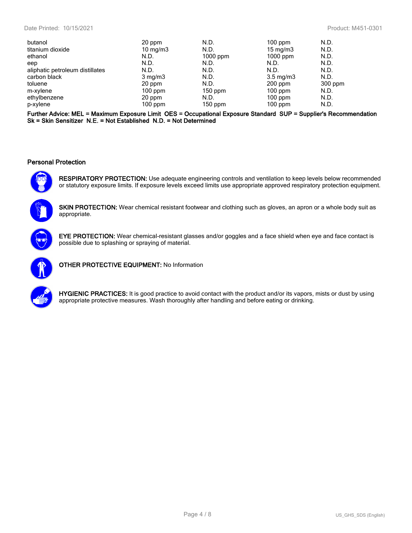| butanol                         | 20 ppm            | N.D.       | $100$ ppm          | N.D.    |
|---------------------------------|-------------------|------------|--------------------|---------|
| titanium dioxide                | $10 \text{ mg/m}$ | N.D.       | 15 mg/m $3$        | N.D.    |
| ethanol                         | N.D.              | $1000$ ppm | $1000$ ppm         | N.D.    |
| eep                             | N.D.              | N.D.       | N.D.               | N.D.    |
| aliphatic petroleum distillates | N.D.              | N.D.       | N.D.               | N.D.    |
| carbon black                    | $3 \text{ mg/m}$  | N.D.       | $3.5 \text{ mg/m}$ | N.D.    |
| toluene                         | 20 ppm            | N.D.       | $200$ ppm          | 300 ppm |
| m-xylene                        | $100$ ppm         | $150$ ppm  | $100$ ppm          | N.D.    |
| ethylbenzene                    | 20 ppm            | N.D.       | $100$ ppm          | N.D.    |
| p-xylene                        | $100$ ppm         | $150$ ppm  | $100$ ppm          | N.D.    |

**Further Advice: MEL = Maximum Exposure Limit OES = Occupational Exposure Standard SUP = Supplier's Recommendation Sk = Skin Sensitizer N.E. = Not Established N.D. = Not Determined**

#### **Personal Protection**



**RESPIRATORY PROTECTION:** Use adequate engineering controls and ventilation to keep levels below recommended or statutory exposure limits. If exposure levels exceed limits use appropriate approved respiratory protection equipment.



**SKIN PROTECTION:** Wear chemical resistant footwear and clothing such as gloves, an apron or a whole body suit as appropriate.



**EYE PROTECTION:** Wear chemical-resistant glasses and/or goggles and a face shield when eye and face contact is possible due to splashing or spraying of material.



**OTHER PROTECTIVE EQUIPMENT:** No Information



**HYGIENIC PRACTICES:** It is good practice to avoid contact with the product and/or its vapors, mists or dust by using appropriate protective measures. Wash thoroughly after handling and before eating or drinking.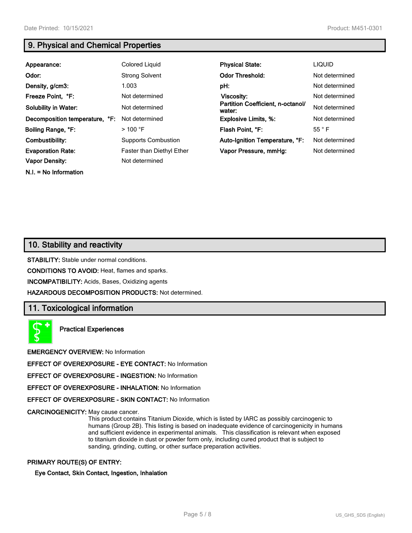**N.I. = No Information**

# **9. Physical and Chemical Properties**

| Appearance:                    | <b>Colored Liquid</b>            | <b>Physical State:</b>                      | <b>LIQUID</b>  |
|--------------------------------|----------------------------------|---------------------------------------------|----------------|
| Odor:                          | <b>Strong Solvent</b>            | <b>Odor Threshold:</b>                      | Not determined |
| Density, g/cm3:                | 1.003                            | pH:                                         | Not determined |
| Freeze Point, °F:              | Not determined                   | Viscosity:                                  | Not determined |
| <b>Solubility in Water:</b>    | Not determined                   | Partition Coefficient, n-octanol/<br>water: | Not determined |
| Decomposition temperature, °F: | Not determined                   | <b>Explosive Limits, %:</b>                 | Not determined |
| Boiling Range, °F:             | $>$ 100 °F                       | Flash Point. °F:                            | $55^{\circ}$ F |
| Combustibility:                | <b>Supports Combustion</b>       | Auto-Ignition Temperature, °F:              | Not determined |
| <b>Evaporation Rate:</b>       | <b>Faster than Diethyl Ether</b> | Vapor Pressure, mmHg:                       | Not determined |
| <b>Vapor Density:</b>          | Not determined                   |                                             |                |

# **10. Stability and reactivity**

**STABILITY:** Stable under normal conditions.

**CONDITIONS TO AVOID:** Heat, flames and sparks.

**INCOMPATIBILITY:** Acids, Bases, Oxidizing agents

**HAZARDOUS DECOMPOSITION PRODUCTS:** Not determined.

# **11. Toxicological information**



**Practical Experiences**

**EMERGENCY OVERVIEW:** No Information

**EFFECT OF OVEREXPOSURE - EYE CONTACT:** No Information

**EFFECT OF OVEREXPOSURE - INGESTION:** No Information

**EFFECT OF OVEREXPOSURE - INHALATION:** No Information

**EFFECT OF OVEREXPOSURE - SKIN CONTACT:** No Information

**CARCINOGENICITY:** May cause cancer.

This product contains Titanium Dioxide, which is listed by IARC as possibly carcinogenic to humans (Group 2B). This listing is based on inadequate evidence of carcinogenicity in humans and sufficient evidence in experimental animals. This classification is relevant when exposed to titanium dioxide in dust or powder form only, including cured product that is subject to sanding, grinding, cutting, or other surface preparation activities.

#### **PRIMARY ROUTE(S) OF ENTRY:**

#### **Eye Contact, Skin Contact, Ingestion, Inhalation**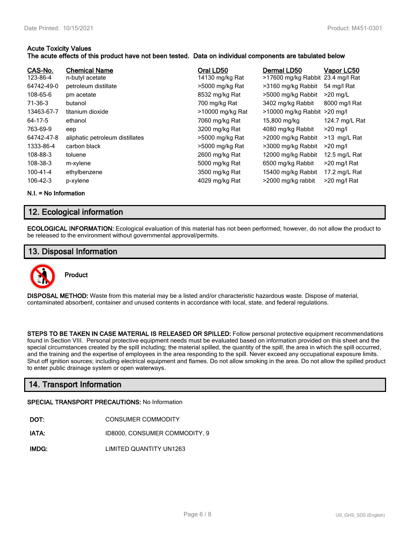#### **Acute Toxicity Values**

#### **The acute effects of this product have not been tested. Data on individual components are tabulated below**

| CAS-No.<br>123-86-4 | <b>Chemical Name</b><br>n-butyl acetate | Oral LD50<br>14130 mg/kg Rat | Dermal LD50<br>>17600 mg/kg Rabbit 23.4 mg/l Rat | Vapor LC50     |
|---------------------|-----------------------------------------|------------------------------|--------------------------------------------------|----------------|
| 64742-49-0          | petroleum distillate                    | >5000 mg/kg Rat              | >3160 mg/kg Rabbit                               | 54 mg/l Rat    |
| 108-65-6            | pm acetate                              | 8532 mg/kg Rat               | >5000 mg/kg Rabbit                               | $>20$ mg/L     |
| 71-36-3             | butanol                                 | 700 mg/kg Rat                | 3402 mg/kg Rabbit                                | 8000 mg/l Rat  |
| 13463-67-7          | titanium dioxide                        | >10000 mg/kg Rat             | $>10000$ mg/kg Rabbit $>20$ mg/l                 |                |
| 64-17-5             | ethanol                                 | 7060 mg/kg Rat               | 15,800 mg/kg                                     | 124.7 mg/L Rat |
| 763-69-9            | eep                                     | 3200 mg/kg Rat               | 4080 mg/kg Rabbit                                | $>20$ mg/l     |
| 64742-47-8          | aliphatic petroleum distillates         | >5000 mg/kg Rat              | >2000 mg/kg Rabbit                               | >13 mg/L Rat   |
| 1333-86-4           | carbon black                            | >5000 mg/kg Rat              | >3000 mg/kg Rabbit                               | $>20$ mg/l     |
| 108-88-3            | toluene                                 | 2600 mg/kg Rat               | 12000 mg/kg Rabbit                               | 12.5 mg/L Rat  |
| 108-38-3            | m-xylene                                | 5000 mg/kg Rat               | 6500 mg/kg Rabbit                                | >20 mg/l Rat   |
| $100 - 41 - 4$      | ethylbenzene                            | 3500 mg/kg Rat               | 15400 mg/kg Rabbit                               | 17.2 mg/L Rat  |
| 106-42-3            | p-xylene                                | 4029 mg/kg Rat               | >2000 mg/kg rabbit                               | >20 mg/l Rat   |

**N.I. = No Information**

# **12. Ecological information**

**ECOLOGICAL INFORMATION:** Ecological evaluation of this material has not been performed; however, do not allow the product to be released to the environment without governmental approval/permits.

# **13. Disposal Information**



**DISPOSAL METHOD:** Waste from this material may be a listed and/or characteristic hazardous waste. Dispose of material, contaminated absorbent, container and unused contents in accordance with local, state, and federal regulations.

**STEPS TO BE TAKEN IN CASE MATERIAL IS RELEASED OR SPILLED:** Follow personal protective equipment recommendations found in Section VIII. Personal protective equipment needs must be evaluated based on information provided on this sheet and the special circumstances created by the spill including; the material spilled, the quantity of the spill, the area in which the spill occurred, and the training and the expertise of employees in the area responding to the spill. Never exceed any occupational exposure limits. Shut off ignition sources; including electrical equipment and flames. Do not allow smoking in the area. Do not allow the spilled product to enter public drainage system or open waterways.

# **14. Transport Information**

#### **SPECIAL TRANSPORT PRECAUTIONS:** No Information

- **IATA:** ID8000, CONSUMER COMMODITY, 9
- **IMDG:** LIMITED QUANTITY UN1263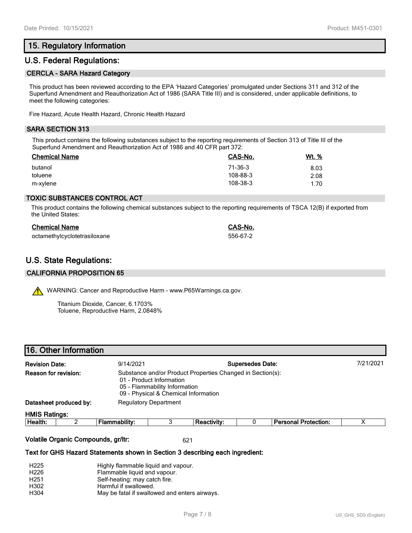# **15. Regulatory Information**

## **U.S. Federal Regulations:**

#### **CERCLA - SARA Hazard Category**

This product has been reviewed according to the EPA 'Hazard Categories' promulgated under Sections 311 and 312 of the Superfund Amendment and Reauthorization Act of 1986 (SARA Title III) and is considered, under applicable definitions, to meet the following categories:

Fire Hazard, Acute Health Hazard, Chronic Health Hazard

#### **SARA SECTION 313**

This product contains the following substances subject to the reporting requirements of Section 313 of Title III of the Superfund Amendment and Reauthorization Act of 1986 and 40 CFR part 372:

| <b>Chemical Name</b> | CAS-No.  | Wt. % |
|----------------------|----------|-------|
| butanol              | 71-36-3  | 8.03  |
| toluene              | 108-88-3 | 2.08  |
| m-xylene             | 108-38-3 | 1.70  |

#### **TOXIC SUBSTANCES CONTROL ACT**

This product contains the following chemical substances subject to the reporting requirements of TSCA 12(B) if exported from the United States:

| <b>Chemical Name</b>         | CAS-No.  |
|------------------------------|----------|
| octamethylcyclotetrasiloxane | 556-67-2 |

# **U.S. State Regulations:**

#### **CALIFORNIA PROPOSITION 65**

WARNING: Cancer and Reproductive Harm - www.P65Warnings.ca.gov.

Titanium Dioxide, Cancer, 6.1703% Toluene, Reproductive Harm, 2.0848%

|                        | 16. Other Information |                              |                                                                                                   |                                                            |  |                             |  |
|------------------------|-----------------------|------------------------------|---------------------------------------------------------------------------------------------------|------------------------------------------------------------|--|-----------------------------|--|
| <b>Revision Date:</b>  |                       | 9/14/2021                    | <b>Supersedes Date:</b>                                                                           |                                                            |  |                             |  |
| Reason for revision:   |                       |                              | 01 - Product Information<br>05 - Flammability Information<br>09 - Physical & Chemical Information | Substance and/or Product Properties Changed in Section(s): |  |                             |  |
| Datasheet produced by: |                       | <b>Regulatory Department</b> |                                                                                                   |                                                            |  |                             |  |
| <b>HMIS Ratings:</b>   |                       |                              |                                                                                                   |                                                            |  |                             |  |
| Health:                |                       | <b>Flammability:</b>         | 3                                                                                                 | <b>Reactivity:</b>                                         |  | <b>Personal Protection:</b> |  |
|                        |                       |                              |                                                                                                   |                                                            |  |                             |  |

#### **Volatile Organic Compounds, gr/ltr:** 621

#### **Text for GHS Hazard Statements shown in Section 3 describing each ingredient:**

| H <sub>225</sub> | Highly flammable liquid and vapour.           |
|------------------|-----------------------------------------------|
| H <sub>226</sub> | Flammable liquid and vapour.                  |
| H <sub>251</sub> | Self-heating: may catch fire.                 |
| H302             | Harmful if swallowed.                         |
| H304             | May be fatal if swallowed and enters airways. |